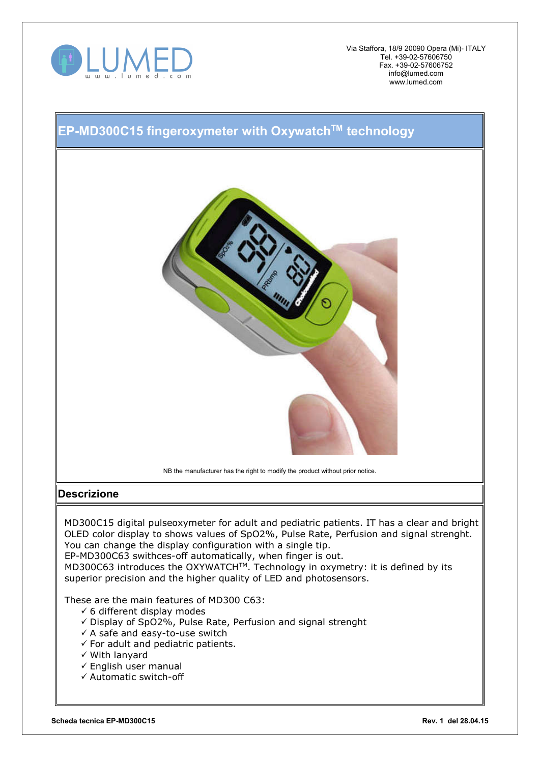

Via Staffora, 18/9 20090 Opera (Mi)- ITALY Tel. +39-02-57606750 Fax. +39-02-57606752 info@lumed.com www.lumed.com